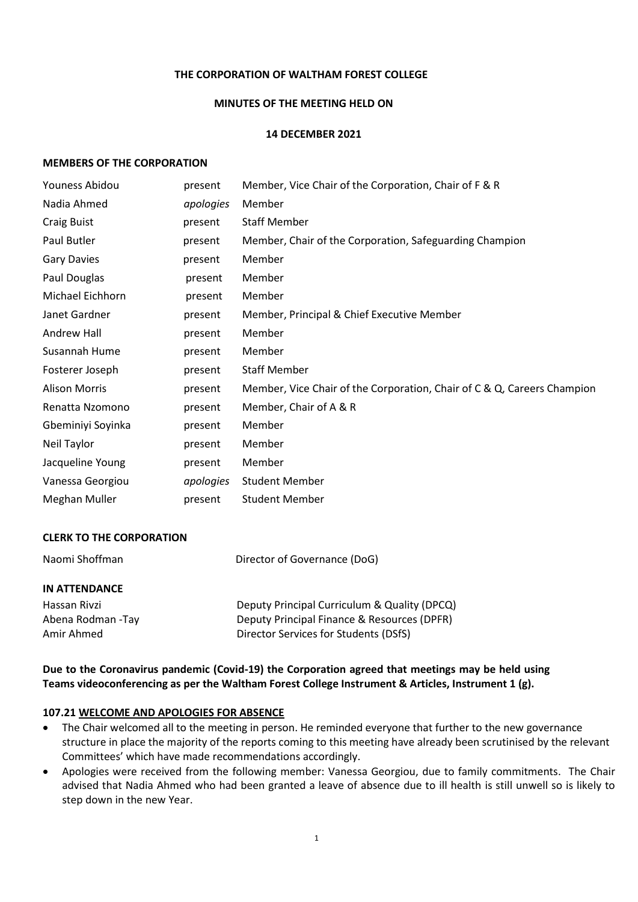#### **THE CORPORATION OF WALTHAM FOREST COLLEGE**

#### **MINUTES OF THE MEETING HELD ON**

#### **14 DECEMBER 2021**

#### **MEMBERS OF THE CORPORATION**

| Youness Abidou       | present   | Member, Vice Chair of the Corporation, Chair of F & R                   |
|----------------------|-----------|-------------------------------------------------------------------------|
| Nadia Ahmed          | apologies | Member                                                                  |
| Craig Buist          | present   | <b>Staff Member</b>                                                     |
| Paul Butler          | present   | Member, Chair of the Corporation, Safeguarding Champion                 |
| <b>Gary Davies</b>   | present   | Member                                                                  |
| Paul Douglas         | present   | Member                                                                  |
| Michael Eichhorn     | present   | Member                                                                  |
| Janet Gardner        | present   | Member, Principal & Chief Executive Member                              |
| Andrew Hall          | present   | Member                                                                  |
| Susannah Hume        | present   | Member                                                                  |
| Fosterer Joseph      | present   | <b>Staff Member</b>                                                     |
| <b>Alison Morris</b> | present   | Member, Vice Chair of the Corporation, Chair of C & Q, Careers Champion |
| Renatta Nzomono      | present   | Member, Chair of A & R                                                  |
| Gbeminiyi Soyinka    | present   | Member                                                                  |
| Neil Taylor          | present   | Member                                                                  |
| Jacqueline Young     | present   | Member                                                                  |
| Vanessa Georgiou     | apologies | <b>Student Member</b>                                                   |
| Meghan Muller        | present   | <b>Student Member</b>                                                   |

#### **CLERK TO THE CORPORATION**

| Naomi Shoffman       | Director of Governance (DoG)                 |  |
|----------------------|----------------------------------------------|--|
| <b>IN ATTENDANCE</b> |                                              |  |
| Hassan Rivzi         | Deputy Principal Curriculum & Quality (DPCQ) |  |
| Abena Rodman - Tay   | Deputy Principal Finance & Resources (DPFR)  |  |
| Amir Ahmed           | Director Services for Students (DSfS)        |  |

**Due to the Coronavirus pandemic (Covid-19) the Corporation agreed that meetings may be held using Teams videoconferencing as per the Waltham Forest College Instrument & Articles, Instrument 1 (g).**

#### **107.21 WELCOME AND APOLOGIES FOR ABSENCE**

- The Chair welcomed all to the meeting in person. He reminded everyone that further to the new governance structure in place the majority of the reports coming to this meeting have already been scrutinised by the relevant Committees' which have made recommendations accordingly.
- Apologies were received from the following member: Vanessa Georgiou, due to family commitments. The Chair advised that Nadia Ahmed who had been granted a leave of absence due to ill health is still unwell so is likely to step down in the new Year.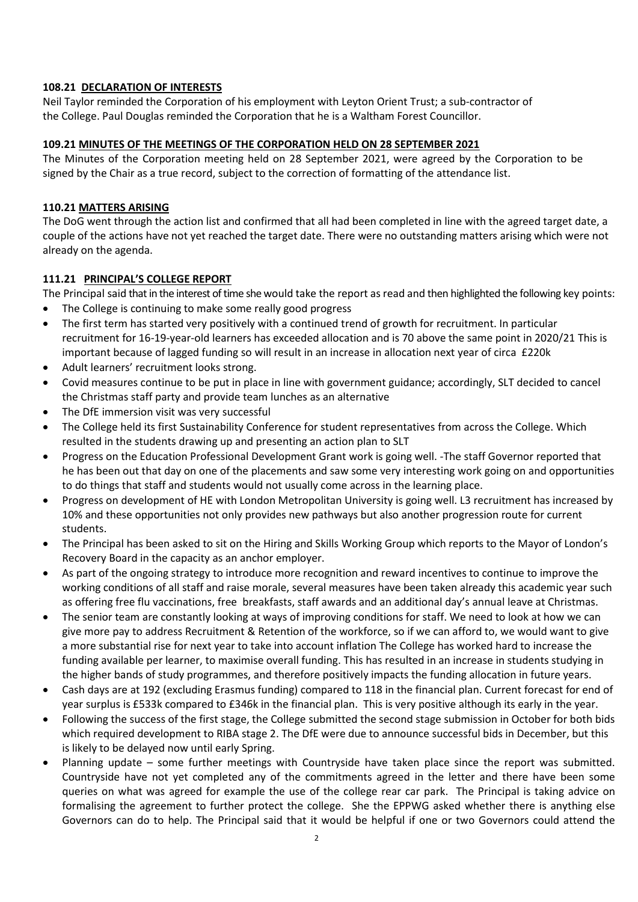### **108.21 DECLARATION OF INTERESTS**

Neil Taylor reminded the Corporation of his employment with Leyton Orient Trust; a sub-contractor of the College. Paul Douglas reminded the Corporation that he is a Waltham Forest Councillor.

### **109.21 MINUTES OF THE MEETINGS OF THE CORPORATION HELD ON 28 SEPTEMBER 2021**

The Minutes of the Corporation meeting held on 28 September 2021, were agreed by the Corporation to be signed by the Chair as a true record, subject to the correction of formatting of the attendance list.

## **110.21 MATTERS ARISING**

The DoG went through the action list and confirmed that all had been completed in line with the agreed target date, a couple of the actions have not yet reached the target date. There were no outstanding matters arising which were not already on the agenda.

## **111.21 PRINCIPAL'S COLLEGE REPORT**

The Principal said that in the interest of time she would take the report as read and then highlighted the following key points:

- The College is continuing to make some really good progress
- The first term has started very positively with a continued trend of growth for recruitment. In particular recruitment for 16-19-year-old learners has exceeded allocation and is 70 above the same point in 2020/21 This is important because of lagged funding so will result in an increase in allocation next year of circa £220k
- Adult learners' recruitment looks strong.
- Covid measures continue to be put in place in line with government guidance; accordingly, SLT decided to cancel the Christmas staff party and provide team lunches as an alternative
- The DfE immersion visit was very successful
- The College held its first Sustainability Conference for student representatives from across the College. Which resulted in the students drawing up and presenting an action plan to SLT
- Progress on the Education Professional Development Grant work is going well. -The staff Governor reported that he has been out that day on one of the placements and saw some very interesting work going on and opportunities to do things that staff and students would not usually come across in the learning place.
- Progress on development of HE with London Metropolitan University is going well. L3 recruitment has increased by 10% and these opportunities not only provides new pathways but also another progression route for current students.
- The Principal has been asked to sit on the Hiring and Skills Working Group which reports to the Mayor of London's Recovery Board in the capacity as an anchor employer.
- As part of the ongoing strategy to introduce more recognition and reward incentives to continue to improve the working conditions of all staff and raise morale, several measures have been taken already this academic year such as offering free flu vaccinations, free breakfasts, staff awards and an additional day's annual leave at Christmas.
- The senior team are constantly looking at ways of improving conditions for staff. We need to look at how we can give more pay to address Recruitment & Retention of the workforce, so if we can afford to, we would want to give a more substantial rise for next year to take into account inflation The College has worked hard to increase the funding available per learner, to maximise overall funding. This has resulted in an increase in students studying in the higher bands of study programmes, and therefore positively impacts the funding allocation in future years.
- Cash days are at 192 (excluding Erasmus funding) compared to 118 in the financial plan. Current forecast for end of year surplus is £533k compared to £346k in the financial plan. This is very positive although its early in the year.
- Following the success of the first stage, the College submitted the second stage submission in October for both bids which required development to RIBA stage 2. The DfE were due to announce successful bids in December, but this is likely to be delayed now until early Spring.
- Planning update some further meetings with Countryside have taken place since the report was submitted. Countryside have not yet completed any of the commitments agreed in the letter and there have been some queries on what was agreed for example the use of the college rear car park. The Principal is taking advice on formalising the agreement to further protect the college. She the EPPWG asked whether there is anything else Governors can do to help. The Principal said that it would be helpful if one or two Governors could attend the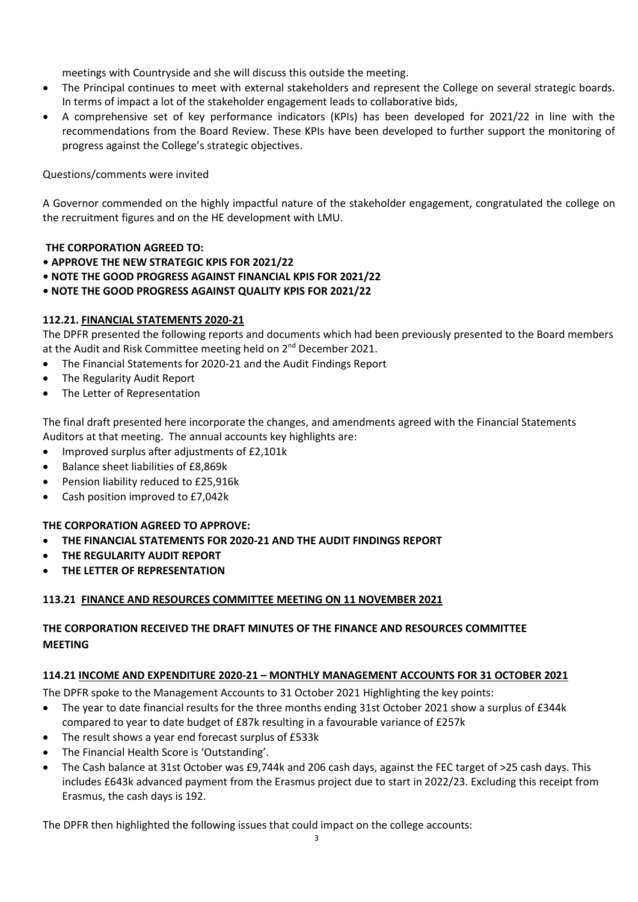meetings with Countryside and she will discuss this outside the meeting.

- The Principal continues to meet with external stakeholders and represent the College on several strategic boards. In terms of impact a lot of the stakeholder engagement leads to collaborative bids,
- A comprehensive set of key performance indicators (KPIs) has been developed for 2021/22 in line with the recommendations from the Board Review. These KPIs have been developed to further support the monitoring of progress against the College's strategic objectives.

# Questions/comments were invited

A Governor commended on the highly impactful nature of the stakeholder engagement, congratulated the college on the recruitment figures and on the HE development with LMU.

# **THE CORPORATION AGREED TO:**

- **APPROVE THE NEW STRATEGIC KPIS FOR 2021/22**
- **NOTE THE GOOD PROGRESS AGAINST FINANCIAL KPIS FOR 2021/22**
- **NOTE THE GOOD PROGRESS AGAINST QUALITY KPIS FOR 2021/22**

# **112.21. FINANCIAL STATEMENTS 2020-21**

The DPFR presented the following reports and documents which had been previously presented to the Board members at the Audit and Risk Committee meeting held on 2<sup>nd</sup> December 2021.

- The Financial Statements for 2020-21 and the Audit Findings Report
- The Regularity Audit Report
- The Letter of Representation

The final draft presented here incorporate the changes, and amendments agreed with the Financial Statements Auditors at that meeting. The annual accounts key highlights are:

- Improved surplus after adjustments of £2,101k
- Balance sheet liabilities of £8,869k
- Pension liability reduced to £25,916k
- Cash position improved to £7,042k

# **THE CORPORATION AGREED TO APPROVE:**

- **THE FINANCIAL STATEMENTS FOR 2020-21 AND THE AUDIT FINDINGS REPORT**
- **THE REGULARITY AUDIT REPORT**
- **THE LETTER OF REPRESENTATION**

# **113.21 FINANCE AND RESOURCES COMMITTEE MEETING ON 11 NOVEMBER 2021**

# **THE CORPORATION RECEIVED THE DRAFT MINUTES OF THE FINANCE AND RESOURCES COMMITTEE MEETING**

# **114.21 INCOME AND EXPENDITURE 2020-21 – MONTHLY MANAGEMENT ACCOUNTS FOR 31 OCTOBER 2021**

The DPFR spoke to the Management Accounts to 31 October 2021 Highlighting the key points:

- The year to date financial results for the three months ending 31st October 2021 show a surplus of £344k compared to year to date budget of £87k resulting in a favourable variance of £257k
- The result shows a year end forecast surplus of £533k
- The Financial Health Score is 'Outstanding'.
- The Cash balance at 31st October was £9,744k and 206 cash days, against the FEC target of >25 cash days. This includes £643k advanced payment from the Erasmus project due to start in 2022/23. Excluding this receipt from Erasmus, the cash days is 192.

The DPFR then highlighted the following issues that could impact on the college accounts: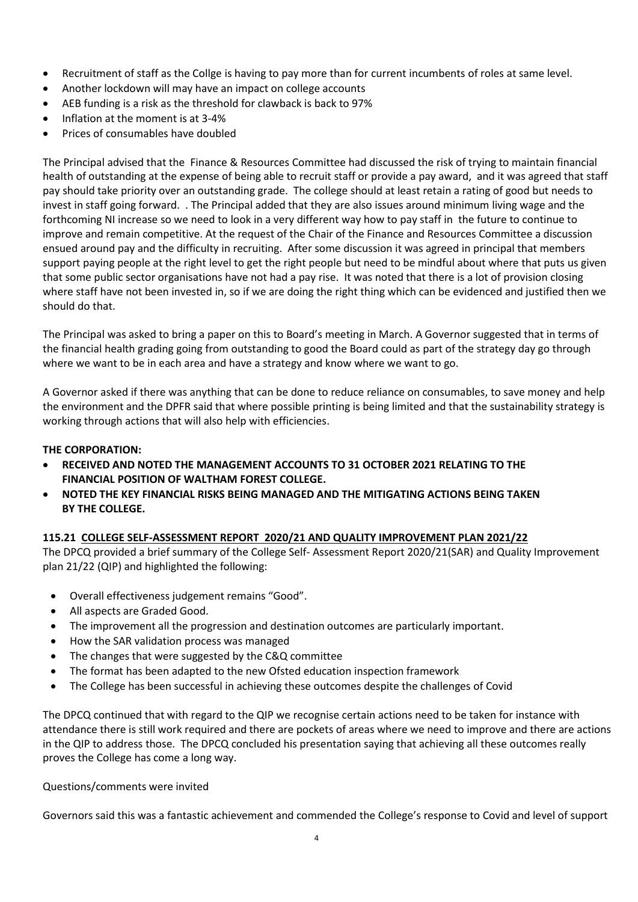- Recruitment of staff as the Collge is having to pay more than for current incumbents of roles at same level.
- Another lockdown will may have an impact on college accounts
- AEB funding is a risk as the threshold for clawback is back to 97%
- Inflation at the moment is at 3-4%
- Prices of consumables have doubled

The Principal advised that the Finance & Resources Committee had discussed the risk of trying to maintain financial health of outstanding at the expense of being able to recruit staff or provide a pay award, and it was agreed that staff pay should take priority over an outstanding grade. The college should at least retain a rating of good but needs to invest in staff going forward. . The Principal added that they are also issues around minimum living wage and the forthcoming NI increase so we need to look in a very different way how to pay staff in the future to continue to improve and remain competitive. At the request of the Chair of the Finance and Resources Committee a discussion ensued around pay and the difficulty in recruiting. After some discussion it was agreed in principal that members support paying people at the right level to get the right people but need to be mindful about where that puts us given that some public sector organisations have not had a pay rise. It was noted that there is a lot of provision closing where staff have not been invested in, so if we are doing the right thing which can be evidenced and justified then we should do that.

The Principal was asked to bring a paper on this to Board's meeting in March. A Governor suggested that in terms of the financial health grading going from outstanding to good the Board could as part of the strategy day go through where we want to be in each area and have a strategy and know where we want to go.

A Governor asked if there was anything that can be done to reduce reliance on consumables, to save money and help the environment and the DPFR said that where possible printing is being limited and that the sustainability strategy is working through actions that will also help with efficiencies.

## **THE CORPORATION:**

- **RECEIVED AND NOTED THE MANAGEMENT ACCOUNTS TO 31 OCTOBER 2021 RELATING TO THE FINANCIAL POSITION OF WALTHAM FOREST COLLEGE.**
- **NOTED THE KEY FINANCIAL RISKS BEING MANAGED AND THE MITIGATING ACTIONS BEING TAKEN BY THE COLLEGE.**

# **115.21 COLLEGE SELF-ASSESSMENT REPORT 2020/21 AND QUALITY IMPROVEMENT PLAN 2021/22**

The DPCQ provided a brief summary of the College Self- Assessment Report 2020/21(SAR) and Quality Improvement plan 21/22 (QIP) and highlighted the following:

- Overall effectiveness judgement remains "Good".
- All aspects are Graded Good.
- The improvement all the progression and destination outcomes are particularly important.
- How the SAR validation process was managed
- The changes that were suggested by the C&Q committee
- The format has been adapted to the new Ofsted education inspection framework
- The College has been successful in achieving these outcomes despite the challenges of Covid

The DPCQ continued that with regard to the QIP we recognise certain actions need to be taken for instance with attendance there is still work required and there are pockets of areas where we need to improve and there are actions in the QIP to address those. The DPCQ concluded his presentation saying that achieving all these outcomes really proves the College has come a long way.

Questions/comments were invited

Governors said this was a fantastic achievement and commended the College's response to Covid and level of support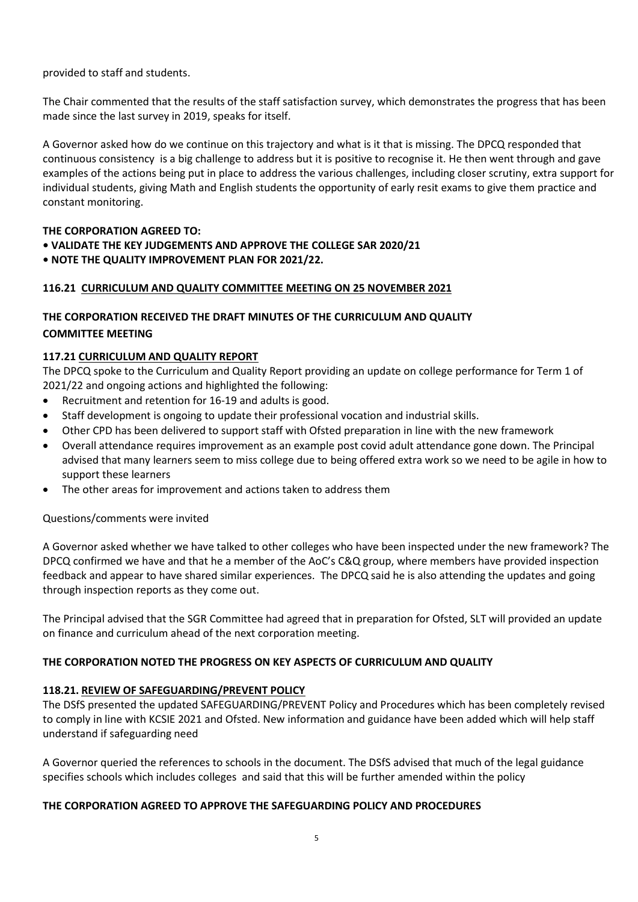provided to staff and students.

The Chair commented that the results of the staff satisfaction survey, which demonstrates the progress that has been made since the last survey in 2019, speaks for itself.

A Governor asked how do we continue on this trajectory and what is it that is missing. The DPCQ responded that continuous consistency is a big challenge to address but it is positive to recognise it. He then went through and gave examples of the actions being put in place to address the various challenges, including closer scrutiny, extra support for individual students, giving Math and English students the opportunity of early resit exams to give them practice and constant monitoring.

## **THE CORPORATION AGREED TO:**

- **VALIDATE THE KEY JUDGEMENTS AND APPROVE THE COLLEGE SAR 2020/21**
- **NOTE THE QUALITY IMPROVEMENT PLAN FOR 2021/22.**

## **116.21 CURRICULUM AND QUALITY COMMITTEE MEETING ON 25 NOVEMBER 2021**

# **THE CORPORATION RECEIVED THE DRAFT MINUTES OF THE CURRICULUM AND QUALITY COMMITTEE MEETING**

## **117.21 CURRICULUM AND QUALITY REPORT**

The DPCQ spoke to the Curriculum and Quality Report providing an update on college performance for Term 1 of 2021/22 and ongoing actions and highlighted the following:

- Recruitment and retention for 16-19 and adults is good.
- Staff development is ongoing to update their professional vocation and industrial skills.
- Other CPD has been delivered to support staff with Ofsted preparation in line with the new framework
- Overall attendance requires improvement as an example post covid adult attendance gone down. The Principal advised that many learners seem to miss college due to being offered extra work so we need to be agile in how to support these learners
- The other areas for improvement and actions taken to address them

#### Questions/comments were invited

A Governor asked whether we have talked to other colleges who have been inspected under the new framework? The DPCQ confirmed we have and that he a member of the AoC's C&Q group, where members have provided inspection feedback and appear to have shared similar experiences. The DPCQ said he is also attending the updates and going through inspection reports as they come out.

The Principal advised that the SGR Committee had agreed that in preparation for Ofsted, SLT will provided an update on finance and curriculum ahead of the next corporation meeting.

#### **THE CORPORATION NOTED THE PROGRESS ON KEY ASPECTS OF CURRICULUM AND QUALITY**

#### **118.21. REVIEW OF SAFEGUARDING/PREVENT POLICY**

The DSfS presented the updated SAFEGUARDING/PREVENT Policy and Procedures which has been completely revised to comply in line with KCSIE 2021 and Ofsted. New information and guidance have been added which will help staff understand if safeguarding need

A Governor queried the references to schools in the document. The DSfS advised that much of the legal guidance specifies schools which includes colleges and said that this will be further amended within the policy

#### **THE CORPORATION AGREED TO APPROVE THE SAFEGUARDING POLICY AND PROCEDURES**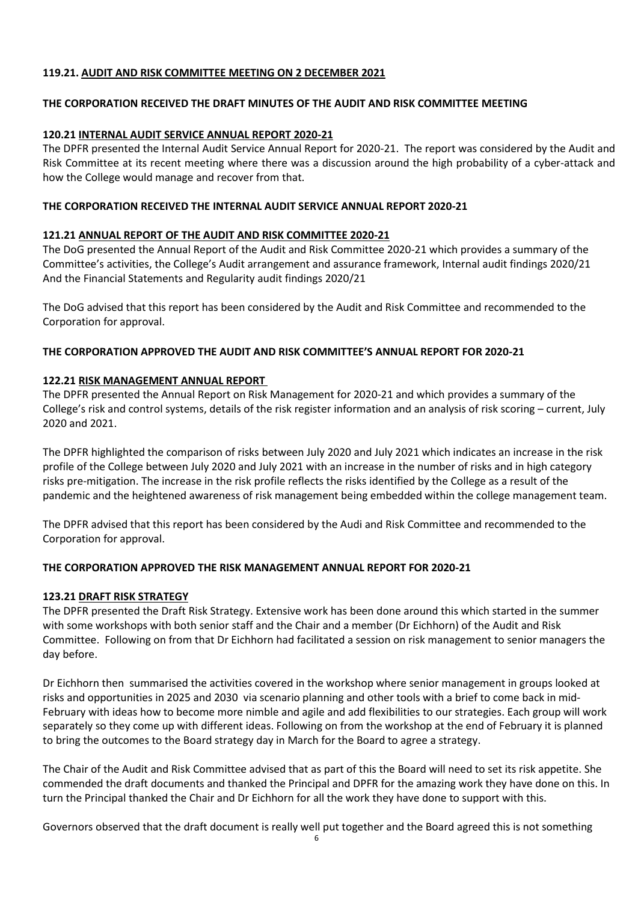## **119.21. AUDIT AND RISK COMMITTEE MEETING ON 2 DECEMBER 2021**

## **THE CORPORATION RECEIVED THE DRAFT MINUTES OF THE AUDIT AND RISK COMMITTEE MEETING**

### **120.21 INTERNAL AUDIT SERVICE ANNUAL REPORT 2020-21**

The DPFR presented the Internal Audit Service Annual Report for 2020-21. The report was considered by the Audit and Risk Committee at its recent meeting where there was a discussion around the high probability of a cyber-attack and how the College would manage and recover from that.

## **THE CORPORATION RECEIVED THE INTERNAL AUDIT SERVICE ANNUAL REPORT 2020-21**

## **121.21 ANNUAL REPORT OF THE AUDIT AND RISK COMMITTEE 2020-21**

The DoG presented the Annual Report of the Audit and Risk Committee 2020-21 which provides a summary of the Committee's activities, the College's Audit arrangement and assurance framework, Internal audit findings 2020/21 And the Financial Statements and Regularity audit findings 2020/21

The DoG advised that this report has been considered by the Audit and Risk Committee and recommended to the Corporation for approval.

## **THE CORPORATION APPROVED THE AUDIT AND RISK COMMITTEE'S ANNUAL REPORT FOR 2020-21**

## **122.21 RISK MANAGEMENT ANNUAL REPORT**

The DPFR presented the Annual Report on Risk Management for 2020-21 and which provides a summary of the College's risk and control systems, details of the risk register information and an analysis of risk scoring – current, July 2020 and 2021.

The DPFR highlighted the comparison of risks between July 2020 and July 2021 which indicates an increase in the risk profile of the College between July 2020 and July 2021 with an increase in the number of risks and in high category risks pre-mitigation. The increase in the risk profile reflects the risks identified by the College as a result of the pandemic and the heightened awareness of risk management being embedded within the college management team.

The DPFR advised that this report has been considered by the Audi and Risk Committee and recommended to the Corporation for approval.

# **THE CORPORATION APPROVED THE RISK MANAGEMENT ANNUAL REPORT FOR 2020-21**

#### **123.21 DRAFT RISK STRATEGY**

The DPFR presented the Draft Risk Strategy. Extensive work has been done around this which started in the summer with some workshops with both senior staff and the Chair and a member (Dr Eichhorn) of the Audit and Risk Committee. Following on from that Dr Eichhorn had facilitated a session on risk management to senior managers the day before.

Dr Eichhorn then summarised the activities covered in the workshop where senior management in groups looked at risks and opportunities in 2025 and 2030 via scenario planning and other tools with a brief to come back in mid-February with ideas how to become more nimble and agile and add flexibilities to our strategies. Each group will work separately so they come up with different ideas. Following on from the workshop at the end of February it is planned to bring the outcomes to the Board strategy day in March for the Board to agree a strategy.

The Chair of the Audit and Risk Committee advised that as part of this the Board will need to set its risk appetite. She commended the draft documents and thanked the Principal and DPFR for the amazing work they have done on this. In turn the Principal thanked the Chair and Dr Eichhorn for all the work they have done to support with this.

Governors observed that the draft document is really well put together and the Board agreed this is not something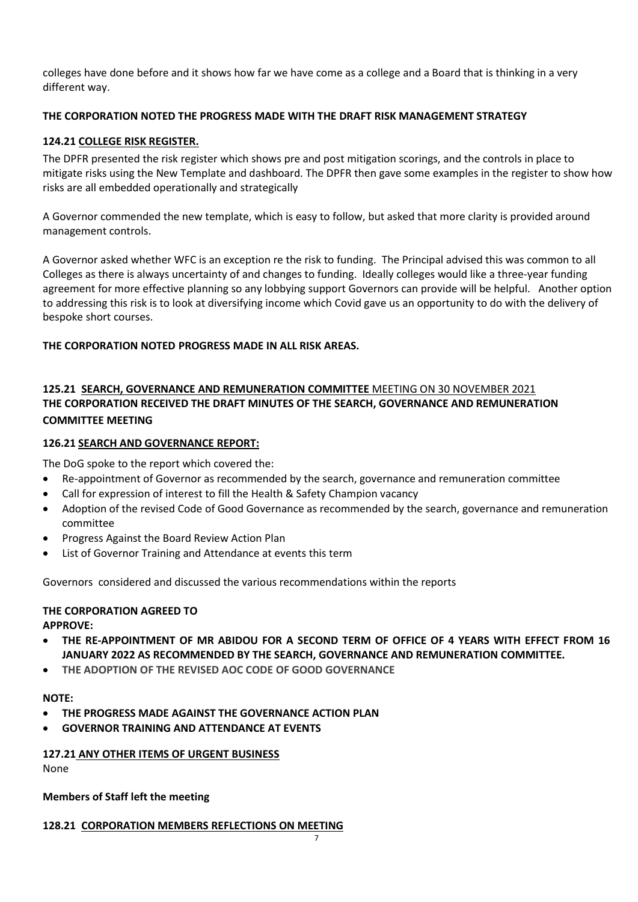colleges have done before and it shows how far we have come as a college and a Board that is thinking in a very different way.

# **THE CORPORATION NOTED THE PROGRESS MADE WITH THE DRAFT RISK MANAGEMENT STRATEGY**

# **124.21 COLLEGE RISK REGISTER.**

The DPFR presented the risk register which shows pre and post mitigation scorings, and the controls in place to mitigate risks using the New Template and dashboard. The DPFR then gave some examples in the register to show how risks are all embedded operationally and strategically

A Governor commended the new template, which is easy to follow, but asked that more clarity is provided around management controls.

A Governor asked whether WFC is an exception re the risk to funding. The Principal advised this was common to all Colleges as there is always uncertainty of and changes to funding. Ideally colleges would like a three-year funding agreement for more effective planning so any lobbying support Governors can provide will be helpful. Another option to addressing this risk is to look at diversifying income which Covid gave us an opportunity to do with the delivery of bespoke short courses.

## **THE CORPORATION NOTED PROGRESS MADE IN ALL RISK AREAS.**

# **125.21 SEARCH, GOVERNANCE AND REMUNERATION COMMITTEE** MEETING ON 30 NOVEMBER 2021 **THE CORPORATION RECEIVED THE DRAFT MINUTES OF THE SEARCH, GOVERNANCE AND REMUNERATION COMMITTEE MEETING**

#### **126.21 SEARCH AND GOVERNANCE REPORT:**

The DoG spoke to the report which covered the:

- Re-appointment of Governor as recommended by the search, governance and remuneration committee
- Call for expression of interest to fill the Health & Safety Champion vacancy
- Adoption of the revised Code of Good Governance as recommended by the search, governance and remuneration committee
- Progress Against the Board Review Action Plan
- List of Governor Training and Attendance at events this term

Governors considered and discussed the various recommendations within the reports

#### **THE CORPORATION AGREED TO**

**APPROVE:**

- **THE RE-APPOINTMENT OF MR ABIDOU FOR A SECOND TERM OF OFFICE OF 4 YEARS WITH EFFECT FROM 16 JANUARY 2022 AS RECOMMENDED BY THE SEARCH, GOVERNANCE AND REMUNERATION COMMITTEE.**
- **THE ADOPTION OF THE REVISED AOC CODE OF GOOD GOVERNANCE**

#### **NOTE:**

- **THE PROGRESS MADE AGAINST THE GOVERNANCE ACTION PLAN**
- **GOVERNOR TRAINING AND ATTENDANCE AT EVENTS**

#### **127.21 ANY OTHER ITEMS OF URGENT BUSINESS**

None

# **Members of Staff left the meeting**

# **128.21 CORPORATION MEMBERS REFLECTIONS ON MEETING**